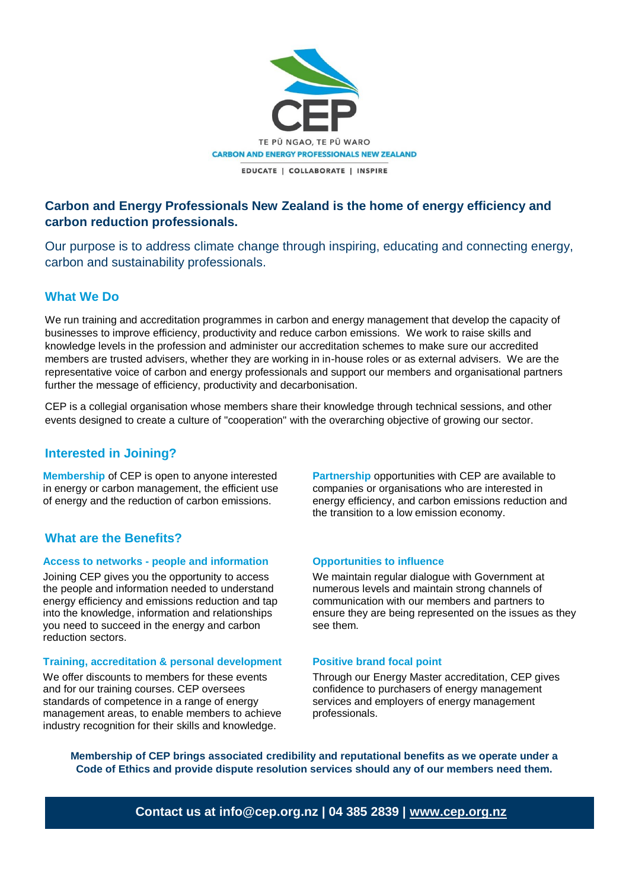

# **Carbon and Energy Professionals New Zealand is the home of energy efficiency and carbon reduction professionals.**

Our purpose is to address climate change through inspiring, educating and connecting energy, carbon and sustainability professionals.

## **What We Do**

We run training and accreditation programmes in carbon and energy management that develop the capacity of businesses to improve efficiency, productivity and reduce carbon emissions. We work to raise skills and knowledge levels in the profession and administer our accreditation schemes to make sure our accredited members are trusted advisers, whether they are working in in-house roles or as external advisers. We are the representative voice of carbon and energy professionals and support our members and organisational partners further the message of efficiency, productivity and decarbonisation.

CEP is a collegial organisation whose members share their knowledge through technical sessions, and other events designed to create a culture of "cooperation" with the overarching objective of growing our sector.

# **Interested in Joining?**

**Membership** of CEP is open to anyone interested in energy or carbon management, the efficient use of energy and the reduction of carbon emissions.

# **What are the Benefits?**

### **Access to networks - people and information**

Joining CEP gives you the opportunity to access the people and information needed to understand energy efficiency and emissions reduction and tap into the knowledge, information and relationships you need to succeed in the energy and carbon reduction sectors.

### **Training, accreditation & personal development**

We offer discounts to members for these events and for our training courses. CEP oversees standards of competence in a range of energy management areas, to enable members to achieve industry recognition for their skills and knowledge.

**Partnership** opportunities with CEP are available to companies or organisations who are interested in energy efficiency, and carbon emissions reduction and the transition to a low emission economy.

#### **Opportunities to influence**

We maintain regular dialogue with Government at numerous levels and maintain strong channels of communication with our members and partners to ensure they are being represented on the issues as they see them.

#### **Positive brand focal point**

Through our Energy Master accreditation, CEP gives confidence to purchasers of energy management services and employers of energy management professionals.

**Membership of CEP brings associated credibility and reputational benefits as we operate under a Code of Ethics and provide dispute resolution services should any of our members need them.**

**Contact us at info@cep.org.nz | 04 385 2839 | [www.cep.org.nz](http://www.cep.org.nz/)**